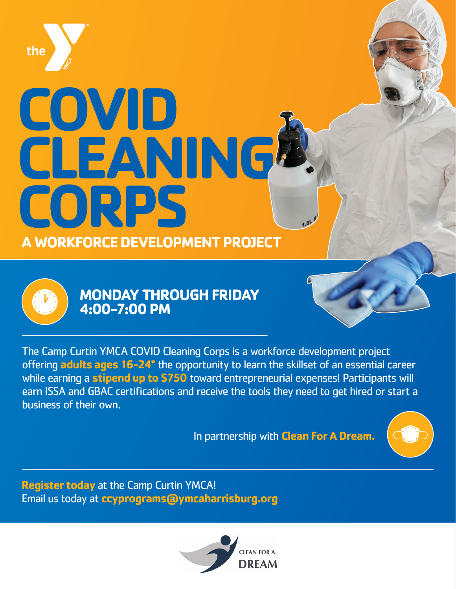

# COVID CLEANING **A WORKFORCE DEVELOPMENT PROJECT**



## **MONDAY THROUGH FRIDAY 4:00-7:00 PM**

The Camp Curtin YMCA COVID Cleaning Corps is a workforce development project offering **adults ages 16-24\*** the opportunity to learn the skillset of an essential career while earning a **stipend up to \$750** toward entrepreneurial expenses! Participants will earn ISSA and GBAC certifications and receive the tools they need to get hired or start a business of their own.

In partnership with **Clean For A Dream.**



**Register today** at the Camp Curtin YMCA! Email us today at **ccyprograms@ymcaharrisburg.org**